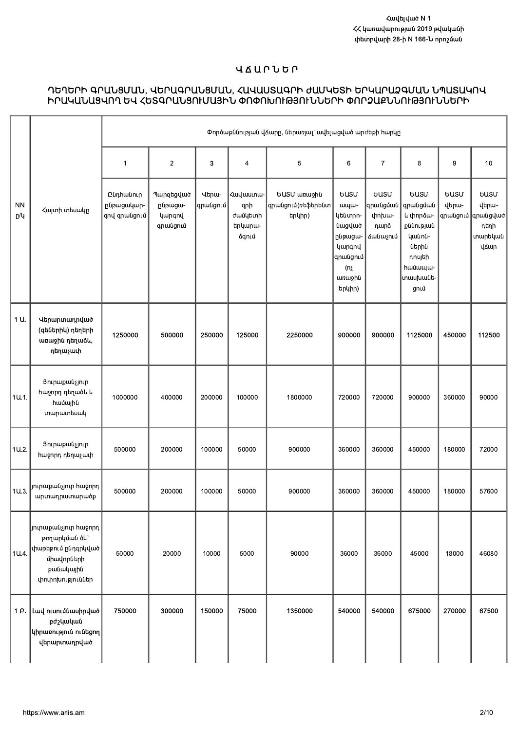### **UAUPUGP**

# ԴԵՂԵՐԻ ԳՐԱՆՑՄԱՆ, ՎԵՐԱԳՐԱՆՑՄԱՆ, ՀԱՎԱՍՏԱԳՐԻ ԺԱՄԿԵՏԻ ԵՐԿԱՐԱՁԳՄԱՆ ՆՊԱՏԱԿՈՎ<br>ԻՐԱԿԱՆԱՑՎՈՂ ԵՎ ՀԵՏԳՐԱՆՑՈՒՄԱՅԻՆ ՓՈՓՈԽՈՒԹՅՈՒՆՆԵՐԻ ՓՈՐՁԱՔՆՆՈՒԹՅՈՒՆՆԵՐԻ

|                  |                                                                                                                           |                                         |                                            |                      |                                                                  | Փորձաքննության վՃարը, ներառյալ` ավելացված արժեքի հարկը |                                                                                                                     |                                          |                                                                                                                        |                      |                                                                                     |
|------------------|---------------------------------------------------------------------------------------------------------------------------|-----------------------------------------|--------------------------------------------|----------------------|------------------------------------------------------------------|--------------------------------------------------------|---------------------------------------------------------------------------------------------------------------------|------------------------------------------|------------------------------------------------------------------------------------------------------------------------|----------------------|-------------------------------------------------------------------------------------|
|                  |                                                                                                                           | 1                                       | $\overline{2}$                             | 3                    | 4                                                                | $\mathbf 5$                                            | 6                                                                                                                   | $\boldsymbol{7}$                         | 8                                                                                                                      | 9                    | 10                                                                                  |
| <b>NN</b><br>ը/կ | Հայտի տեսակը                                                                                                              | Ընդիանուր<br>ընթացակար-<br>qnվ qnwugniu | Պարզեցված<br>ընթացա-<br>կարգով<br>գրանցում | Վերա-<br>$q$ րանցում | <wuuuunw-<br>qnh<br/>ժամկետի<br/>երկարա-<br/>ձգում</wuuuunw-<br> | ԵUSU առաջին<br> գրանցում(ռեֆերենտ <br>երկիր)           | <b>GUSU</b><br>шщш-<br>կենտրո-<br>նացված<br>ընթացա-<br><b>կարգով</b><br>գրանցում<br>$(n_{\xi})$<br>առաջին<br>երկիր) | <b>GUSU</b><br>փոխա-<br>դարձ<br>Ճանաչում | <b>busu</b><br>գրանցման  գրանցման<br>և փորձա-<br>քննության<br>կանոն-<br>ներին<br>դոսյեի<br>hwúwww-<br>տասխանե-<br>ցում | <b>GUSU</b><br>վերա- | <b>busu</b><br>վերա-<br>$ $ գրանցում $\ $ գրանցված $ $<br>դեղի<br>տարեկան  <br>վՃար |
| 1 U.             | Վերարտադրված<br>(գեներիկ) դեղերի<br>առաջին դեղաձև,<br>դեղաչափ                                                             | 1250000                                 | 500000                                     | 250000               | 125000                                                           | 2250000                                                | 900000                                                                                                              | 900000                                   | 1125000                                                                                                                | 450000               | 112500                                                                              |
| 1U.1.            | Յուրաքանչյուր<br>հաջորդ դեղաձև և<br>համային<br>տարատեսակ                                                                  | 1000000                                 | 400000                                     | 200000               | 100000                                                           | 1800000                                                | 720000                                                                                                              | 720000                                   | 900000                                                                                                                 | 360000               | 90000                                                                               |
| 1U.2.            | Յուրաքանչյուր<br>հաջորդ դեղաչափ                                                                                           | 500000                                  | 200000                                     | 100000               | 50000                                                            | 900000                                                 | 360000                                                                                                              | 360000                                   | 450000                                                                                                                 | 180000               | 72000                                                                               |
| 1U.3.            | յուրաքանչյուր հաջորդ<br>արտադրատարածք                                                                                     | 500000                                  | 200000                                     | 100000               | 50000                                                            | 900000                                                 | 360000                                                                                                              | 360000                                   | 450000                                                                                                                 | 180000               | 57600                                                                               |
| 1U.4.            | $\vert$ յուրաքանչյուր հաջորդ $\vert$<br>թողարկման ձև`<br>փաթեթում ընդգրկված<br>միավորների<br>քանակային<br>փոփոխություններ | 50000                                   | 20000                                      | 10000                | 5000                                                             | 90000                                                  | 36000                                                                                                               | 36000                                    | 45000                                                                                                                  | 18000                | 46080                                                                               |
| 1 P.             | Լավ ուսումնասիրված <br>pd24w4w0<br>$\left $ կիրառություն ունեցող $\right $<br>վերարտադրված                                | 750000                                  | 300000                                     | 150000               | 75000                                                            | 1350000                                                | 540000                                                                                                              | 540000                                   | 675000                                                                                                                 | 270000               | 67500                                                                               |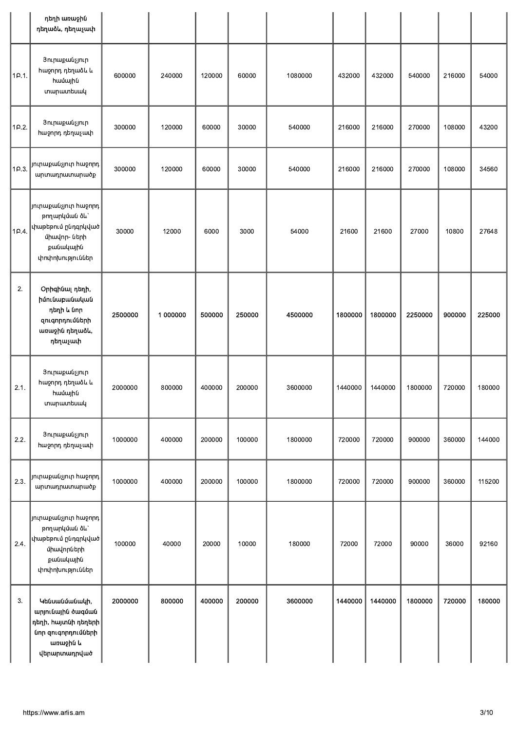|       | դեղի առաջին<br>դեղաձև, դեղաչափ                                                                                               |         |          |        |        |         |         |         |         |        |        |
|-------|------------------------------------------------------------------------------------------------------------------------------|---------|----------|--------|--------|---------|---------|---------|---------|--------|--------|
| 1P.1. | Յուրաքանչյուր<br>հաջորդ դեղաձև և<br>համային<br>տարատեսակ                                                                     | 600000  | 240000   | 120000 | 60000  | 1080000 | 432000  | 432000  | 540000  | 216000 | 54000  |
| 1P.2. | Յուրաքանչյուր<br>հաջորդ դեղաչափ                                                                                              | 300000  | 120000   | 60000  | 30000  | 540000  | 216000  | 216000  | 270000  | 108000 | 43200  |
| 1P.3. | յուրաքանչյուր հաջորդ $\vert$<br>արտադրատարածք                                                                                | 300000  | 120000   | 60000  | 30000  | 540000  | 216000  | 216000  | 270000  | 108000 | 34560  |
| 10.4  | յուրաքանչյուր հաջորդ <br>թողարկման ձև`<br>$\vert$ փաթեթում ընդգրկված $\vert$<br>միավոր- ների<br>քանակային<br>փոփոխություններ | 30000   | 12000    | 6000   | 3000   | 54000   | 21600   | 21600   | 27000   | 10800  | 27648  |
| 2.    | Օրիգինալ դեղի,<br>իմունաբանական<br>դեղի և նոր<br>զուգորդումների<br>առաջին դեղաձև,<br>դեղաչափ                                 | 2500000 | 1 000000 | 500000 | 250000 | 4500000 | 1800000 | 1800000 | 2250000 | 900000 | 225000 |
| 2.1.  | Յուրաքանչյուր<br>հաջորդ դեղաձև և<br>համային<br>տարատեսակ                                                                     | 2000000 | 800000   | 400000 | 200000 | 3600000 | 1440000 | 1440000 | 1800000 | 720000 | 180000 |
| 2.2.  | Յուրաքանչյուր<br>հաջորդ դեղաչափ                                                                                              | 1000000 | 400000   | 200000 | 100000 | 1800000 | 720000  | 720000  | 900000  | 360000 | 144000 |
| 2.3.  | յուրաքանչյուր հաջորդ <br>արտադրատարածք                                                                                       | 1000000 | 400000   | 200000 | 100000 | 1800000 | 720000  | 720000  | 900000  | 360000 | 115200 |
| 2.4.  | $ $ յուրաքանչյուր հաջորդ $ $<br>թողարկման ծև`<br>փաթեթում ընդգրկված <br>միավորների<br>քանակային<br>փոփոխություններ           | 100000  | 40000    | 20000  | 10000  | 180000  | 72000   | 72000   | 90000   | 36000  | 92160  |
| 3.    | Կենսանմանակի,<br>արյունային ծագման<br>դեղի, հայտնի դեղերի<br>նոր զուգորդումների<br>առաջին և<br>վերարտադրված                  | 2000000 | 800000   | 400000 | 200000 | 3600000 | 1440000 | 1440000 | 1800000 | 720000 | 180000 |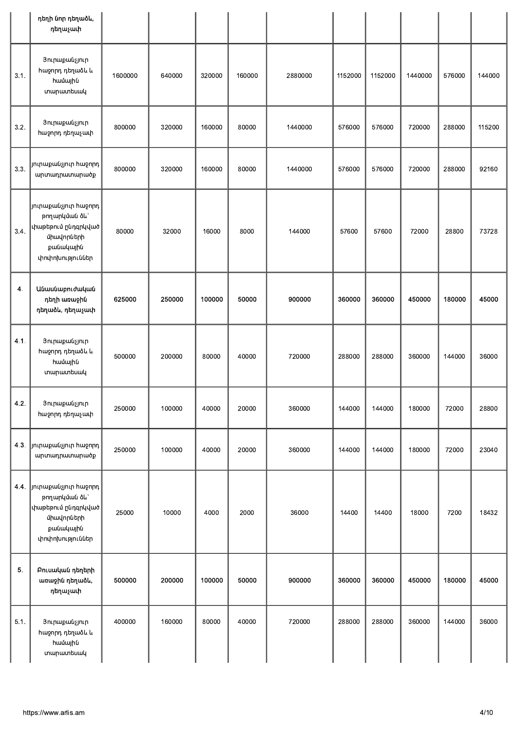|      | դեղի նոր դեղաձև,<br>դեղաչափ                                                                                |         |        |        |        |         |         |         |         |        |        |
|------|------------------------------------------------------------------------------------------------------------|---------|--------|--------|--------|---------|---------|---------|---------|--------|--------|
| 3.1. | Յուրաքանչյուր<br>հաջորդ դեղաձև և<br>համային<br>ununuuntuuul                                                | 1600000 | 640000 | 320000 | 160000 | 2880000 | 1152000 | 1152000 | 1440000 | 576000 | 144000 |
| 3.2. | Յուրաքանչյուր<br>հաջորդ դեղաչափ                                                                            | 800000  | 320000 | 160000 | 80000  | 1440000 | 576000  | 576000  | 720000  | 288000 | 115200 |
| 3.3. | յուրաքանչյուր հաջորդ <br>արտադրատարածք                                                                     | 800000  | 320000 | 160000 | 80000  | 1440000 | 576000  | 576000  | 720000  | 288000 | 92160  |
| 3.4. | յուրաքանչյուր hաջորդ<br>թողարկման ձև`<br>փաթեթում ընդգրկված <br>միավորների<br>քանակային<br>փոփոխություններ | 80000   | 32000  | 16000  | 8000   | 144000  | 57600   | 57600   | 72000   | 28800  | 73728  |
| 4.   | Անասնաբուժական<br>դեղի առաջին<br>դեղաձև, դեղաչափ                                                           | 625000  | 250000 | 100000 | 50000  | 900000  | 360000  | 360000  | 450000  | 180000 | 45000  |
| 4.1. | Յուրաքանչյուր<br>հաջորդ դեղաձև և<br>համային<br>ununuuntuuul                                                | 500000  | 200000 | 80000  | 40000  | 720000  | 288000  | 288000  | 360000  | 144000 | 36000  |
| 4.2  | Յուրաքանչյուր<br>հաջորդ դեղաչափ                                                                            | 250000  | 100000 | 40000  | 20000  | 360000  | 144000  | 144000  | 180000  | 72000  | 28800  |
| 43   | յուրաքանչյուր հաջորդ <br>արտադրատարածք                                                                     | 250000  | 100000 | 40000  | 20000  | 360000  | 144000  | 144000  | 180000  | 72000  | 23040  |
| 44.  | յուրաքանչյուր հաջորդ <br>թողարկման ձև`<br>փաթեթում ընդգրկված<br>միավորների<br>քանակային<br>փոփոխություններ | 25000   | 10000  | 4000   | 2000   | 36000   | 14400   | 14400   | 18000   | 7200   | 18432  |
| 5.   | Բուսական դեղերի<br>առաջին դեղաձև,<br>դեղաչափ                                                               | 500000  | 200000 | 100000 | 50000  | 900000  | 360000  | 360000  | 450000  | 180000 | 45000  |
| 5.1. | Յուրաքանչյուր<br>հաջորդ դեղաձև և<br>համային<br>տարատեսակ                                                   | 400000  | 160000 | 80000  | 40000  | 720000  | 288000  | 288000  | 360000  | 144000 | 36000  |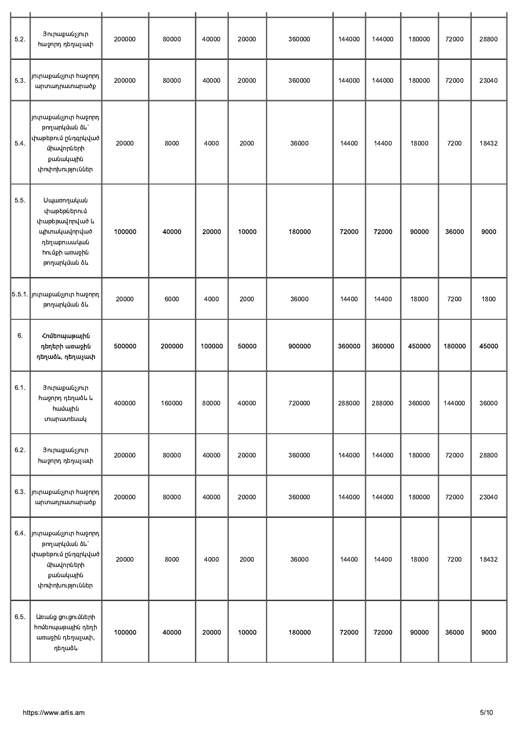| 5.2. | Յուրաքանչյուր<br>հաջորդ դեղաչափ                                                                                            | 200000 | 80000  | 40000  | 20000 | 360000 | 144000 | 144000 | 180000 | 72000  | 28800 |
|------|----------------------------------------------------------------------------------------------------------------------------|--------|--------|--------|-------|--------|--------|--------|--------|--------|-------|
| 5.3. | յուրաքանչյուր հաջորդ <br>արտադրատարածք                                                                                     | 200000 | 80000  | 40000  | 20000 | 360000 | 144000 | 144000 | 180000 | 72000  | 23040 |
| 5.4. | $\vert$ յուրաքանչյուր հաջորդ $\vert$<br>թողարկման ձև`<br>փաթեթում ընդգրկված<br>միավորների<br>քանակային<br>փոփոխություններ  | 20000  | 8000   | 4000   | 2000  | 36000  | 14400  | 14400  | 18000  | 7200   | 18432 |
| 5.5. | Սպառողական<br>փաթեթներում<br>փաթեթավորված և<br>պիտակավորված<br>դեղաբուսական<br>hnւմքի առաջին<br>թողարկման ձև               | 100000 | 40000  | 20000  | 10000 | 180000 | 72000  | 72000  | 90000  | 36000  | 9000  |
|      | $\bm{\ket{5.5.1}}$ յուրաքանչյուր հաջորդ $\bm{\ket{}}$<br>թողարկման ծև                                                      | 20000  | 6000   | 4000   | 2000  | 36000  | 14400  | 14400  | 18000  | 7200   | 1800  |
| 6.   | <b><i>Հոմեոպաթային</i></b><br>դեղերի առաջին<br>դեղաձև, դեղաչափ                                                             | 500000 | 200000 | 100000 | 50000 | 900000 | 360000 | 360000 | 450000 | 180000 | 45000 |
| 6.1. | Յուրաքանչյուր<br>հաջորդ դեղաձև և<br>համային<br>տարատեսակ                                                                   | 400000 | 160000 | 80000  | 40000 | 720000 | 288000 | 288000 | 360000 | 144000 | 36000 |
| 6.2. | Յուրաքանչյուր<br>հաջորդ դեղաչափ                                                                                            | 200000 | 80000  | 40000  | 20000 | 360000 | 144000 | 144000 | 180000 | 72000  | 28800 |
| 6.3. | յուրաքանչյուր հաջորդ<br>արտադրատարածք                                                                                      | 200000 | 80000  | 40000  | 20000 | 360000 | 144000 | 144000 | 180000 | 72000  | 23040 |
| 6.4. | յուրաքանչյուր հաջորդ <br>թողարկման ձև`<br>$\vert$ փաթեթում ընդգրկված $\vert$<br>միավորների<br>քանակային<br>փոփոխություններ | 20000  | 8000   | 4000   | 2000  | 36000  | 14400  | 14400  | 18000  | 7200   | 18432 |
| 6.5. | Առանց ցուցումների<br>հոմեոպաթային դեղի<br>առաջին դեղաչափ,<br>դեղաձև                                                        | 100000 | 40000  | 20000  | 10000 | 180000 | 72000  | 72000  | 90000  | 36000  | 9000  |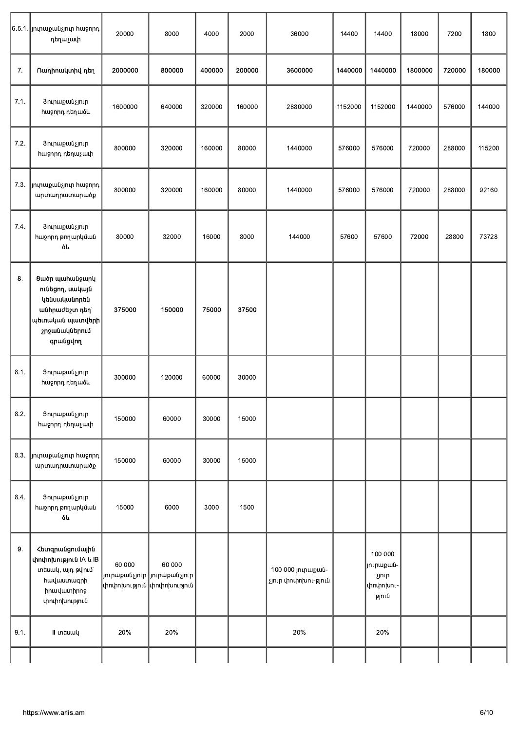|      | $\bm{\ket{6.5.1}}$ յուրաքանչյուր հաջորդ $\bm{\ket{}}$<br>դեղաչափ                                                     | 20000   | 8000                                                                    | 4000   | 2000   | 36000                                    | 14400   | 14400                                              | 18000   | 7200   | 1800   |
|------|----------------------------------------------------------------------------------------------------------------------|---------|-------------------------------------------------------------------------|--------|--------|------------------------------------------|---------|----------------------------------------------------|---------|--------|--------|
| 7.   | Ոադիոակտիվ դեղ                                                                                                       | 2000000 | 800000                                                                  | 400000 | 200000 | 3600000                                  | 1440000 | 1440000                                            | 1800000 | 720000 | 180000 |
| 7.1. | Յուրաքանչյուր<br>հաջորդ դեղաձև                                                                                       | 1600000 | 640000                                                                  | 320000 | 160000 | 2880000                                  | 1152000 | 1152000                                            | 1440000 | 576000 | 144000 |
| 7.2. | Յուրաքանչյուր<br>հաջորդ դեղաչափ                                                                                      | 800000  | 320000                                                                  | 160000 | 80000  | 1440000                                  | 576000  | 576000                                             | 720000  | 288000 | 115200 |
| 7.3. | $\ $ յուրաքանչյուր հաջորդ $\ $<br>արտադրատարածք                                                                      | 800000  | 320000                                                                  | 160000 | 80000  | 1440000                                  | 576000  | 576000                                             | 720000  | 288000 | 92160  |
| 7.4. | Յուրաքանչյուր<br>հաջորդ թողարկման<br>ðև                                                                              | 80000   | 32000                                                                   | 16000  | 8000   | 144000                                   | 57600   | 57600                                              | 72000   | 28800  | 73728  |
| 8.   | Ցածր պահանջարկ<br>ունեցող, սակայն<br>կենսականորեն<br>անհրաժեշտ դեղ`<br>պետական պատվերի <br>շրջանակներում<br>qnwugunn | 375000  | 150000                                                                  | 75000  | 37500  |                                          |         |                                                    |         |        |        |
| 8.1. | Յուրաքանչյուր<br>հաջորդ դեղաձև                                                                                       | 300000  | 120000                                                                  | 60000  | 30000  |                                          |         |                                                    |         |        |        |
| 8.2. | Յուրաքանչյուր<br>հաջորդ դեղաչափ                                                                                      | 150000  | 60000                                                                   | 30000  | 15000  |                                          |         |                                                    |         |        |        |
|      | 8.3. Jninupuuajnin huionnn<br>արտադրատարածք                                                                          | 150000  | 60000                                                                   | 30000  | 15000  |                                          |         |                                                    |         |        |        |
| 8.4. | Յուրաքանչյուր<br>հաջորդ թողարկման<br>ðև                                                                              | 15000   | 6000                                                                    | 3000   | 1500   |                                          |         |                                                    |         |        |        |
| 9.   | Հետգրանցումային<br>փոփոխություն IA և IB<br>տեսակ, այդ թվում`<br><b>hw</b> uuunwqnh<br>իրավատիրոջ<br>փոփոխություն     | 60 000  | 60 000<br> յուրաքանչյուր  յուրաքանչյուր <br> փոփոխություն  փոփոխություն |        |        | 100 000 յուրաքան-<br>չյուր փոփոխու-թյուն |         | 100 000<br>յուրաքան-<br>չյուր<br>փոփոխու-<br>թյուն |         |        |        |
| 9.1. | II <i>unbuwy</i>                                                                                                     | 20%     | 20%                                                                     |        |        | 20%                                      |         | 20%                                                |         |        |        |
|      |                                                                                                                      |         |                                                                         |        |        |                                          |         |                                                    |         |        |        |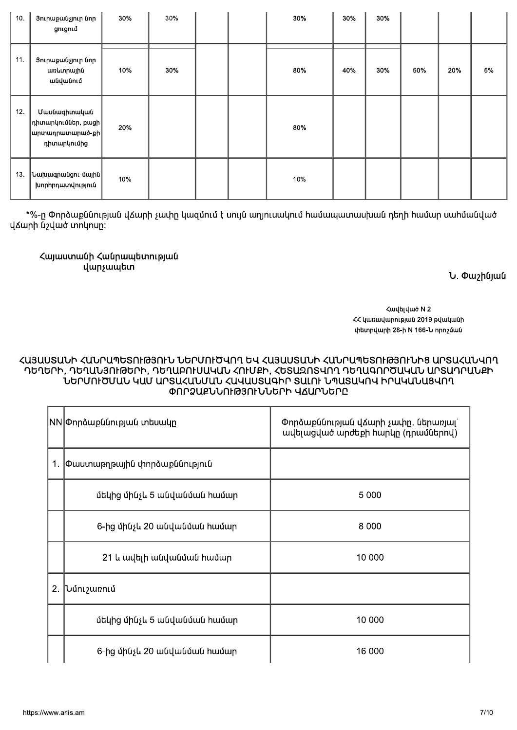| 1. | Փաստաթղթային փորձաքննություն |         |
|----|------------------------------|---------|
|    | մեկից մինչև 5 անվանման համար | 5 0 0 0 |
|    | 6-ից մինչև 20 անվանման hամար | 8 0 0 0 |
|    | 21 և ավելի անվանման hամար    | 10 000  |
| 2. | <b>Ն</b> մու <i>շ</i> առում  |         |
|    | մեկից մինչև 5 անվանման համար | 10 000  |
|    | 6-ից մինչև 20 անվանման hամար | 16 000  |

### ՆԵՐՍՈՒԾՄԱՆ ԿԱՄ ԱՐՏԱՀԱՆՄԱՆ ՀԱՎԱՍՏԱԳԻՐ ՏԱԼՈՒ ՆՊԱՏԱԿՈՎ ԻՐԱԿԱՆԱՑՎՈՂ ՓՈՐՁԱՔՆՆՈՒԹՅՈՒՆՆԵՐԻ ՎՃԱՐՆԵՐԸ

ՀԱՅԱՍՏԱՆԻ ՀԱՆՐԱՊԵՏՈՒԹՅՈՒՆ ՆԵՐՄՈՒԾՎՈՂ ԵՎ ՀԱՅԱՍՏԱՆԻ ՀԱՆՐԱՊԵՏՈՒԹՅՈՒՆԻՑ ԱՐՏԱՀԱՆՎՈՂ ԴԵՂԵՐԻ, ԴԵՂԱՆՅՈՒԹԵՐԻ, ԴԵՂԱԲՈՒՍԱԿԱՆ ՀՈՒՄՔԻ, ՀԵՏԱԶՈՏՎՈՂ ԴԵՂԱԳՈՐԾԱԿԱՆ ԱՐՏԱԴՐԱՆՔԻ

ՀՀ կառավարության 2019 թվականի փետրվարի 28-ի N 166-Ն որոշման

Փորձաքննության վՃարի չափր, ներառյալ` ավելացված արժեքի hարկը (դրամներով)

Հայաստանի Հանրապետության վարչապետ

 $|NN|$ Փորձաքննության տեսակը

|  | խորհրդատվություն                                                                                                    | . |  | . |  |  |  |
|--|---------------------------------------------------------------------------------------------------------------------|---|--|---|--|--|--|
|  | *%-ը Փորձաքննության վՃարի չափը կազմում է սույն աղյուսակում համապատասխան դեղի համար սահմանված<br>վՃարի նշված տոկոսը։ |   |  |   |  |  |  |

| 10. | Յուրաքանչյուր նոր<br>ցուցում                                                                         | 30% | 30% |  | 30% | 30% | 30% |     |     |    |
|-----|------------------------------------------------------------------------------------------------------|-----|-----|--|-----|-----|-----|-----|-----|----|
| 11. | Յուրաքանչյուր նոր<br>առևտրային<br>անվանում                                                           | 10% | 30% |  | 80% | 40% | 30% | 50% | 20% | 5% |
| 12. | <b>Uwuuuqhuuuuuu</b><br>$\vert$ դիտարկումներ, բացի $\vert$<br>$ $ արտադրատարած-քի $ $<br>դիտարկումից | 20% |     |  | 80% |     |     |     |     |    |
| 13. | $ $ Նախագրանցու-մային $ $<br>խորիրդատվություն                                                        | 10% |     |  | 10% |     |     |     |     |    |

Հավելված N 2

*<u><b>U. Փաշինյան</u>*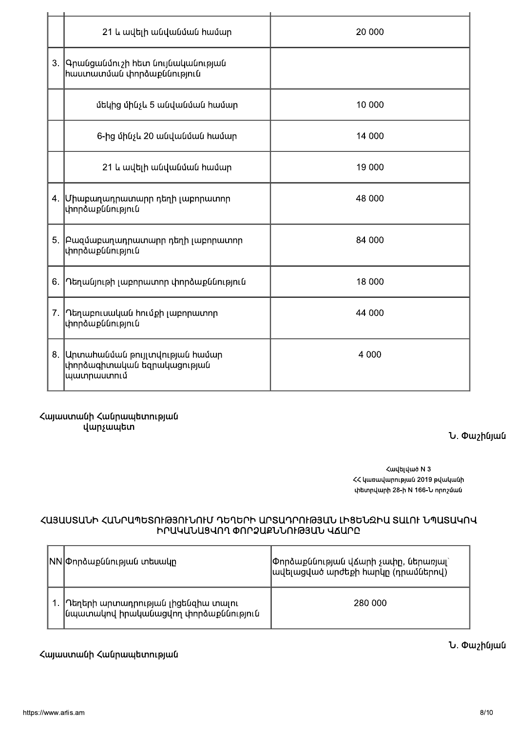|    | 21 և ավելի անվանման hամար                                                     | 20 000  |
|----|-------------------------------------------------------------------------------|---------|
| 3. | Գրանցանմուշի հետ նույնականության<br><b>իաստատման փորձաքննություն</b>          |         |
|    | մեկից մինչև 5 անվանման hամար                                                  | 10 000  |
|    | 6-ից մինչև 20 անվանման hամար                                                  | 14 000  |
|    | 21 և ավելի անվանման hամար                                                     | 19 000  |
|    | 4. Միաբաղադրատարր դեղի լաբորատոր<br>փորձաքննություն                           | 48 000  |
| 5. | Բազմաբաղադրատարր դեղի լաբորատոր<br>փորձաքննություն                            | 84 000  |
| 6. | Դեղանյութի լաբորատոր փորձաքննություն                                          | 18 000  |
| 7. | Դեղաբուսական hումքի լաբորատոր<br>փորձաքննություն                              | 44 000  |
|    | 8. Արտահանման թույլտվության համար<br>փորձագիտական եզրակացության<br>պատրաստում | 4 0 0 0 |
|    | Հայաստանի Հանրապետության<br>վարչապետ                                          | ับ, ¢   |

<mark>Փաշինյան</mark>

Հավելված N 3 ՀՀ կառավարության 2019 թվականի փետրվարի 28-ի N 166-Ն որոշման

# ՀԱՅԱՍՏԱՆԻ ՀԱՆՐԱՊԵՏՈՒԹՅՈՒՆՈՒՄ ԴԵՂԵՐԻ ԱՐՏԱԴՐՈՒԹՅԱՆ ԼԻՑԵՆԶԻԱ ՏԱԼՈՒ ՆՊԱՏԱԿՈՎ<br>ԻՐԱԿԱՆԱՑՎՈՂ ՓՈՐՁԱՔՆՆՈՒԹՅԱՆ ՎՃԱՐԸ

| NN Փորձաքննության տեսակը                                                    | $  \Phi$ որձաքննության վՃարի չափը, ներառյալ`<br> ավելացված արժեքի հարկը (դրամներով) |
|-----------------------------------------------------------------------------|-------------------------------------------------------------------------------------|
| Դեղերի արտադրության լիցենզիա տալու<br> նպատակով իրականացվող փորձաքննություն | 280 000                                                                             |

## Հայաստանի Հանրապետության

Ն. Փաշինյան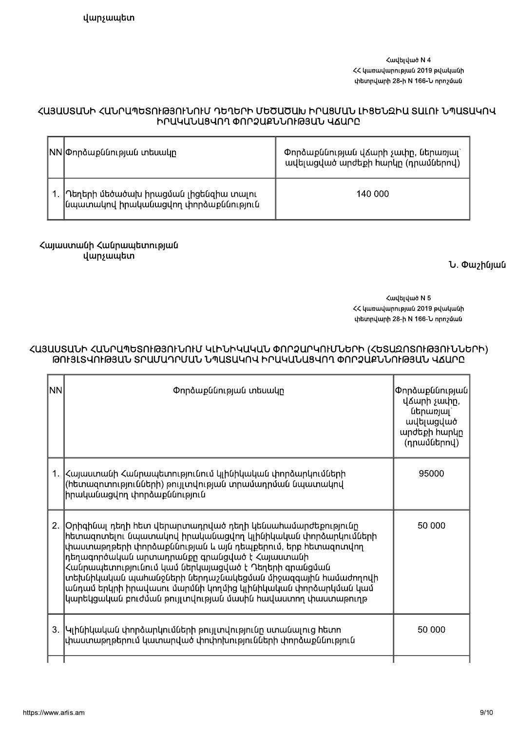Հավելված N 4 ՀՀ կառավարության 2019 թվականի փետրվարի 28-ի N 166-Ն որոշման

#### ՀԱՅԱՍՏԱՆԻ ՀԱՆՐԱՊԵՏՈՒԹՅՈՒՆՈՒՄ ԴԵՂԵՐԻ ՄԵԾԱԾԱԽ ԻՐԱՑՄԱՆ ԼԻՑԵՆԶԻԱ ՏԱԼՈՒ ՆՊԱՏԱԿՈՎ ԻՐԱԿԱՆԱՑՎՈՂ ՓՈՐՁԱՔՆՆՈՒԹՅԱՆ ՎՃԱՐԸ

| NN Փորձաքննության տեսակը                                                         | Փորձաքննության վՃարի չափը, ներառյալ`<br>ավելացված արժեքի hարկը (դրամներով) |
|----------------------------------------------------------------------------------|----------------------------------------------------------------------------|
| .  Դեղերի մեծածախ իրացման լիցենզիա տալու<br>նպատակով իրականացվող փորձաքննություն | 140 000                                                                    |

Հայաստանի Հանրապետության վարչապետ

Ն. Փաշինյան

Հավելված N 5 ՀՀ կառավարության 2019 թվականի փետրվարի 28-ի N 166-Ն որոշման

### ՀԱՅԱՍՏԱՆԻ ՀԱՆՐԱՊԵՏՈՒԹՅՈՒՆՈՒՄ ԿԼԻՆԻԿԱԿԱՆ ՓՈՐՁԱՐԿՈՒՄՆԵՐԻ (ՀԵՏԱԶՈՏՈՒԹՅՈՒՆՆԵՐԻ) ԹՈՒՅԼՏՎՈՒԹՅԱՆ ՏՐԱՄԱԴՐՄԱՆ ՆՊԱՏԱԿՈՎ ԻՐԱԿԱՆԱՑՎՈՂ ՓՈՐՁԱՔՆՆՈՒԹՅԱՆ ՎՃԱՐԸ

| NN | Փորձաքննության տեսակը                                                                                                                                                                                                                                                                                                                                                                                                                                                                     | Փորձաքննության<br>վՃարի չափը,<br>ներառյալ`<br>ավելացված<br>արժեքի հարկը<br>(դրամներով) |
|----|-------------------------------------------------------------------------------------------------------------------------------------------------------------------------------------------------------------------------------------------------------------------------------------------------------------------------------------------------------------------------------------------------------------------------------------------------------------------------------------------|----------------------------------------------------------------------------------------|
|    | 1.  Հայաստանի Հանրապետությունում կլինիկական փորձարկումների<br>(հետազոտությունների) թույլտվության տրամադրման նպատակով<br>իրականացվող փորձաքննություն                                                                                                                                                                                                                                                                                                                                       | 95000                                                                                  |
| 2. | Օրիգինալ դեղի հետ վերարտադրված դեղի կենսահամարժեքությունը<br>հետազոտելու նպատակով իրականացվող կլինիկական փորձարկումների<br>փաստաթղթերի փորձաքննության և այն դեպքերում, երբ հետազոտվող<br>դեղագործական արտադրանքը գրանցված է Հայաստանի<br>Հանրապետությունում կամ ներկայացված է Դեղերի գրանցման<br>տեխնիկական պահանջների ներդաշնակեցման միջազգային համաժողովի<br>անդամ երկրի իրավասու մարմնի կողմից կլինիկական փորձարկման կամ<br>կարեկցական բուժման թույլտվության մասին հավաստող փաստաթուղթ | 50 000                                                                                 |
|    | 3.  Կլինիկական փորձարկումների թույլտվությունը ստանալուց հետո<br>փաստաթղթերում կատարված փոփոխությունների փորձաքննություն                                                                                                                                                                                                                                                                                                                                                                   | 50 000                                                                                 |
|    |                                                                                                                                                                                                                                                                                                                                                                                                                                                                                           |                                                                                        |